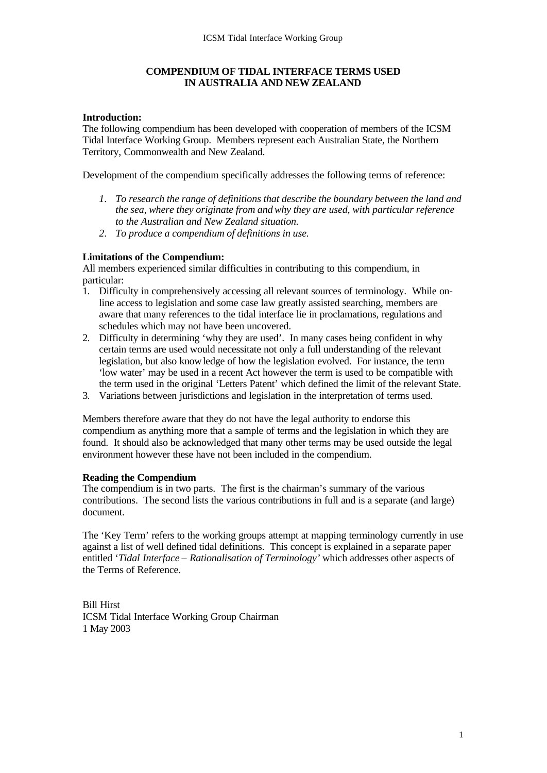# **COMPENDIUM OF TIDAL INTERFACE TERMS USED IN AUSTRALIA AND NEW ZEALAND**

### **Introduction:**

The following compendium has been developed with cooperation of members of the ICSM Tidal Interface Working Group. Members represent each Australian State, the Northern Territory, Commonwealth and New Zealand.

Development of the compendium specifically addresses the following terms of reference:

- *1. To research the range of definitions that describe the boundary between the land and the sea, where they originate from and why they are used, with particular reference to the Australian and New Zealand situation.*
- *2. To produce a compendium of definitions in use.*

## **Limitations of the Compendium:**

All members experienced similar difficulties in contributing to this compendium, in particular:

- 1. Difficulty in comprehensively accessing all relevant sources of terminology. While online access to legislation and some case law greatly assisted searching, members are aware that many references to the tidal interface lie in proclamations, regulations and schedules which may not have been uncovered.
- 2. Difficulty in determining 'why they are used'. In many cases being confident in why certain terms are used would necessitate not only a full understanding of the relevant legislation, but also knowledge of how the legislation evolved. For instance, the term 'low water' may be used in a recent Act however the term is used to be compatible with the term used in the original 'Letters Patent' which defined the limit of the relevant State.
- 3. Variations between jurisdictions and legislation in the interpretation of terms used.

Members therefore aware that they do not have the legal authority to endorse this compendium as anything more that a sample of terms and the legislation in which they are found. It should also be acknowledged that many other terms may be used outside the legal environment however these have not been included in the compendium.

### **Reading the Compendium**

The compendium is in two parts. The first is the chairman's summary of the various contributions. The second lists the various contributions in full and is a separate (and large) document.

The 'Key Term' refers to the working groups attempt at mapping terminology currently in use against a list of well defined tidal definitions. This concept is explained in a separate paper entitled '*Tidal Interface – Rationalisation of Terminology'* which addresses other aspects of the Terms of Reference.

Bill Hirst ICSM Tidal Interface Working Group Chairman 1 May 2003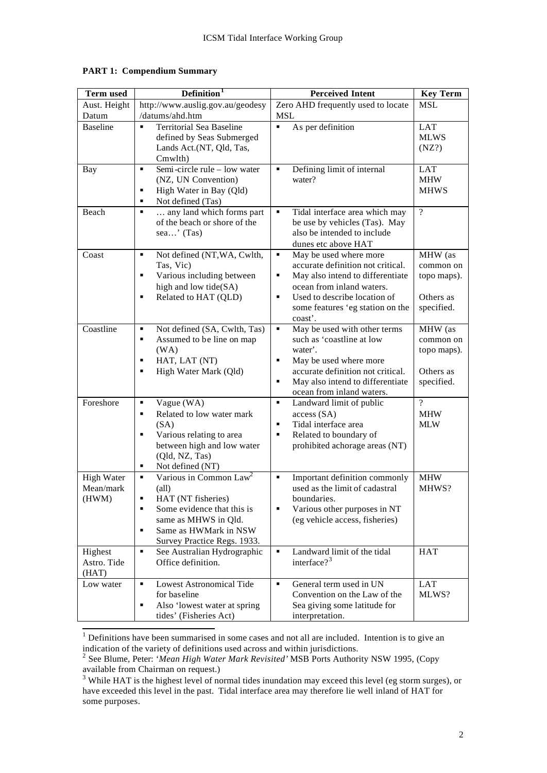| <b>Term used</b>                        | Definition <sup>1</sup>                                                                                                                                                                                      | <b>Perceived Intent</b>                                                                                                                                                                                                    | <b>Key Term</b>                                                |
|-----------------------------------------|--------------------------------------------------------------------------------------------------------------------------------------------------------------------------------------------------------------|----------------------------------------------------------------------------------------------------------------------------------------------------------------------------------------------------------------------------|----------------------------------------------------------------|
| Aust. Height                            | http://www.auslig.gov.au/geodesy                                                                                                                                                                             | Zero AHD frequently used to locate                                                                                                                                                                                         | <b>MSL</b>                                                     |
| Datum                                   | /datums/ahd.htm                                                                                                                                                                                              | <b>MSL</b>                                                                                                                                                                                                                 |                                                                |
| <b>Baseline</b>                         | <b>Territorial Sea Baseline</b><br>$\blacksquare$<br>defined by Seas Submerged<br>Lands Act.(NT, Qld, Tas,<br>Cmwlth)                                                                                        | As per definition<br>$\blacksquare$                                                                                                                                                                                        | <b>LAT</b><br><b>MLWS</b><br>(NZ?)                             |
| <b>Bay</b>                              | Semi-circle rule - low water<br>٠<br>(NZ, UN Convention)<br>High Water in Bay (Qld)<br>٠<br>Not defined (Tas)<br>٠                                                                                           | Defining limit of internal<br>$\blacksquare$<br>water?                                                                                                                                                                     | <b>LAT</b><br><b>MHW</b><br><b>MHWS</b>                        |
| Beach                                   | any land which forms part<br>٠<br>of the beach or shore of the<br>sea' $(Tas)$                                                                                                                               | Tidal interface area which may<br>٠<br>be use by vehicles (Tas). May<br>also be intended to include<br>dunes etc above HAT                                                                                                 | $\gamma$                                                       |
| Coast                                   | Not defined (NT, WA, Cwlth,<br>٠<br>Tas, Vic)<br>Various including between<br>٠<br>high and low tide(SA)<br>Related to HAT (QLD)<br>٠                                                                        | May be used where more<br>٠<br>accurate definition not critical.<br>May also intend to differentiate<br>٠<br>ocean from inland waters.<br>٠<br>Used to describe location of<br>some features 'eg station on the<br>coast'. | MHW (as<br>common on<br>topo maps).<br>Others as<br>specified. |
| Coastline                               | Not defined (SA, Cwlth, Tas)<br>٠<br>٠<br>Assumed to be line on map<br>(WA)<br>HAT, LAT (NT)<br>٠<br>High Water Mark (Qld)<br>٠                                                                              | May be used with other terms<br>٠<br>such as 'coastline at low<br>water'.<br>May be used where more<br>٠<br>accurate definition not critical.<br>May also intend to differentiate<br>٠<br>ocean from inland waters.        | MHW (as<br>common on<br>topo maps).<br>Others as<br>specified. |
| Foreshore                               | Vague (WA)<br>٠<br>Related to low water mark<br>٠<br>(SA)<br>Various relating to area<br>٠<br>between high and low water<br>(Qld, NZ, Tas)<br>Not defined (NT)<br>٠                                          | ٠<br>Landward limit of public<br>access (SA)<br>Tidal interface area<br>٠<br>Related to boundary of<br>٠<br>prohibited achorage areas (NT)                                                                                 | $\gamma$<br><b>MHW</b><br><b>MLW</b>                           |
| <b>High Water</b><br>Mean/mark<br>(HWM) | Various in Common Law <sup>2</sup><br>٠<br>$\text{(all)}$<br>HAT (NT fisheries)<br>٠<br>Some evidence that this is<br>٠<br>same as MHWS in Qld.<br>Same as HWMark in NSW<br>٠<br>Survey Practice Regs. 1933. | ٠<br>Important definition commonly<br>used as the limit of cadastral<br>boundaries.<br>Various other purposes in NT<br>٠<br>(eg vehicle access, fisheries)                                                                 | <b>MHW</b><br>MHWS?                                            |
| Highest<br>Astro. Tide<br>(HAT)         | ٠<br>See Australian Hydrographic<br>Office definition.                                                                                                                                                       | Landward limit of the tidal<br>٠<br>interface? <sup>3</sup>                                                                                                                                                                | <b>HAT</b>                                                     |
| Low water                               | <b>Lowest Astronomical Tide</b><br>٠<br>for baseline<br>Also 'lowest water at spring<br>٠<br>tides' (Fisheries Act)                                                                                          | General term used in UN<br>٠<br>Convention on the Law of the<br>Sea giving some latitude for<br>interpretation.                                                                                                            | <b>LAT</b><br>MLWS?                                            |

### **PART 1: Compendium Summary**

<sup>&</sup>lt;sup>1</sup> Definitions have been summarised in some cases and not all are included. Intention is to give an

indication of the variety of definitions used across and within jurisdictions. 2 See Blume, Peter: '*Mean High Water Mark Revisited'* MSB Ports Authority NSW 1995, (Copy available from Chairman on request.)

 $3$  While HAT is the highest level of normal tides inundation may exceed this level (eg storm surges), or have exceeded this level in the past. Tidal interface area may therefore lie well inland of HAT for some purposes.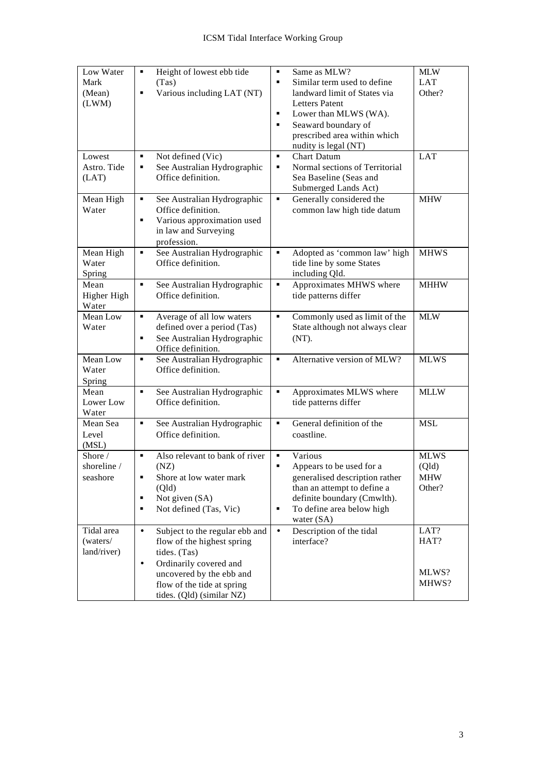| Low Water<br>Mark<br>(Mean)<br>(LWM)      | Height of lowest ebb tide<br>٠<br>(Tas)<br>Various including LAT (NT)<br>٠                                                                                                                                              | Same as MLW?<br>$\blacksquare$<br>Similar term used to define<br>٠<br>landward limit of States via<br><b>Letters Patent</b><br>Lower than MLWS (WA).<br>٠<br>Seaward boundary of<br>٠<br>prescribed area within which | <b>MLW</b><br><b>LAT</b><br>Other?           |
|-------------------------------------------|-------------------------------------------------------------------------------------------------------------------------------------------------------------------------------------------------------------------------|-----------------------------------------------------------------------------------------------------------------------------------------------------------------------------------------------------------------------|----------------------------------------------|
| Lowest<br>Astro. Tide<br>(LAT)            | Not defined (Vic)<br>٠<br>٠<br>See Australian Hydrographic<br>Office definition.                                                                                                                                        | nudity is legal (NT)<br><b>Chart Datum</b><br>٠<br>Normal sections of Territorial<br>٠<br>Sea Baseline (Seas and<br>Submerged Lands Act)                                                                              | <b>LAT</b>                                   |
| Mean High<br>Water                        | See Australian Hydrographic<br>٠<br>Office definition.<br>Various approximation used<br>٠<br>in law and Surveying<br>profession.                                                                                        | Generally considered the<br>٠<br>common law high tide datum                                                                                                                                                           | <b>MHW</b>                                   |
| Mean High<br>Water<br>Spring              | See Australian Hydrographic<br>٠<br>Office definition.                                                                                                                                                                  | Adopted as 'common law' high<br>٠<br>tide line by some States<br>including Qld.                                                                                                                                       | <b>MHWS</b>                                  |
| Mean<br>Higher High<br>Water              | See Australian Hydrographic<br>٠<br>Office definition.                                                                                                                                                                  | Approximates MHWS where<br>٠<br>tide patterns differ                                                                                                                                                                  | <b>MHHW</b>                                  |
| Mean Low<br>Water                         | Average of all low waters<br>٠<br>defined over a period (Tas)<br>See Australian Hydrographic<br>٠<br>Office definition.                                                                                                 | Commonly used as limit of the<br>٠<br>State although not always clear<br>(NT).                                                                                                                                        | <b>MLW</b>                                   |
| Mean Low<br>Water<br>Spring               | See Australian Hydrographic<br>٠<br>Office definition.                                                                                                                                                                  | Alternative version of MLW?<br>٠                                                                                                                                                                                      | <b>MLWS</b>                                  |
| Mean<br>Lower Low<br>Water                | See Australian Hydrographic<br>٠<br>Office definition.                                                                                                                                                                  | Approximates MLWS where<br>٠<br>tide patterns differ                                                                                                                                                                  | <b>MLLW</b>                                  |
| Mean Sea<br>Level<br>(MSL)                | See Australian Hydrographic<br>٠<br>Office definition.                                                                                                                                                                  | General definition of the<br>٠<br>coastline.                                                                                                                                                                          | <b>MSL</b>                                   |
| Shore $\angle$<br>shoreline /<br>seashore | Also relevant to bank of river<br>٠<br>(NZ)<br>Shore at low water mark<br>(Qld)<br>Not given (SA)<br>٠<br>Not defined (Tas, Vic)<br>٠                                                                                   | Various<br>٠<br>Appears to be used for a<br>٠<br>generalised description rather<br>than an attempt to define a<br>definite boundary (Cmwlth).<br>To define area below high<br>٠<br>water $(SA)$                       | <b>MLWS</b><br>(Qld)<br><b>MHW</b><br>Other? |
| Tidal area<br>(waters/<br>land/river)     | Subject to the regular ebb and<br>$\bullet$<br>flow of the highest spring<br>tides. (Tas)<br>Ordinarily covered and<br>$\bullet$<br>uncovered by the ebb and<br>flow of the tide at spring<br>tides. (Qld) (similar NZ) | Description of the tidal<br>$\bullet$<br>interface?                                                                                                                                                                   | LAT?<br>HAT?<br>MLWS?<br>MHWS?               |